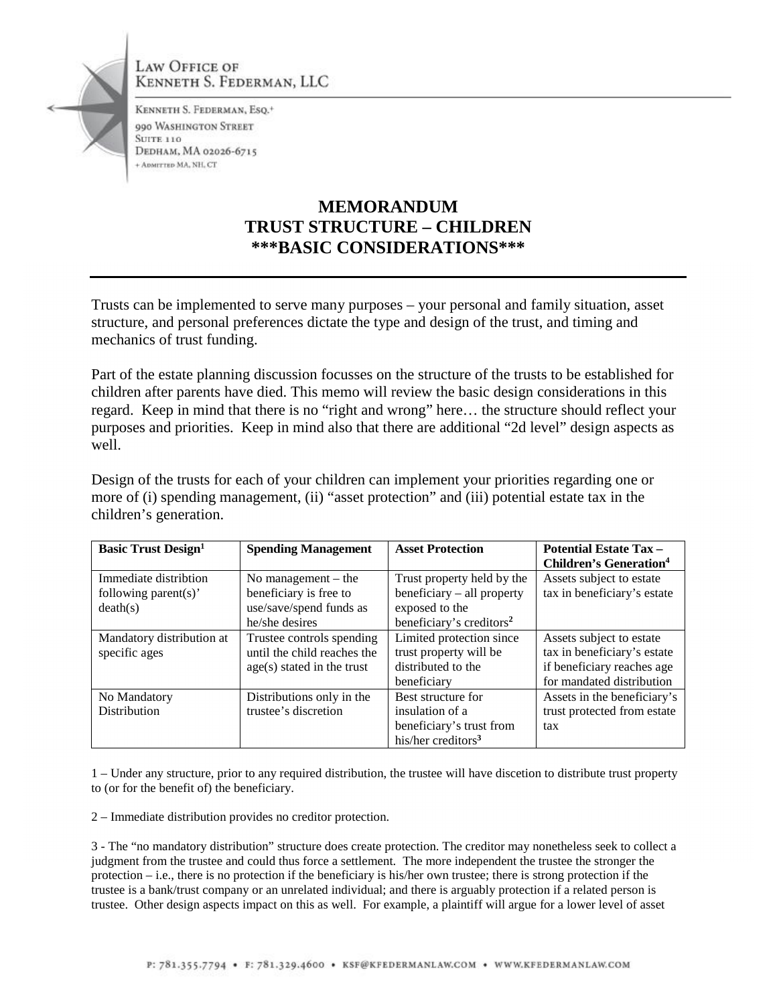

LAW OFFICE OF KENNETH S. FEDERMAN, LLC

KENNETH S. FEDERMAN, ESQ.<sup>+</sup> 990 WASHINGTON STREET **SUITE 110 DEDHAM, MA 02026-6715** + ADMITTED MA, NH, CT

## **MEMORANDUM TRUST STRUCTURE – CHILDREN \*\*\*BASIC CONSIDERATIONS\*\*\***

Trusts can be implemented to serve many purposes – your personal and family situation, asset structure, and personal preferences dictate the type and design of the trust, and timing and mechanics of trust funding.

Part of the estate planning discussion focusses on the structure of the trusts to be established for children after parents have died. This memo will review the basic design considerations in this regard. Keep in mind that there is no "right and wrong" here… the structure should reflect your purposes and priorities. Keep in mind also that there are additional "2d level" design aspects as well.

Design of the trusts for each of your children can implement your priorities regarding one or more of (i) spending management, (ii) "asset protection" and (iii) potential estate tax in the children's generation.

| <b>Basic Trust Design</b> <sup>1</sup> | <b>Spending Management</b>  | <b>Asset Protection</b>              | <b>Potential Estate Tax -</b><br><b>Children's Generation<sup>4</sup></b> |
|----------------------------------------|-----------------------------|--------------------------------------|---------------------------------------------------------------------------|
| Immediate distribtion                  | No management $-$ the       | Trust property held by the           | Assets subject to estate                                                  |
| following parent(s)'                   | beneficiary is free to      | beneficiary – all property           | tax in beneficiary's estate                                               |
| death(s)                               | use/save/spend funds as     | exposed to the                       |                                                                           |
|                                        | he/she desires              | beneficiary's creditors <sup>2</sup> |                                                                           |
| Mandatory distribution at              | Trustee controls spending   | Limited protection since             | Assets subject to estate                                                  |
| specific ages                          | until the child reaches the | trust property will be               | tax in beneficiary's estate                                               |
|                                        | age(s) stated in the trust  | distributed to the                   | if beneficiary reaches age                                                |
|                                        |                             | beneficiary                          | for mandated distribution                                                 |
| No Mandatory                           | Distributions only in the   | Best structure for                   | Assets in the beneficiary's                                               |
| <b>Distribution</b>                    | trustee's discretion        | insulation of a                      | trust protected from estate                                               |
|                                        |                             | beneficiary's trust from             | tax                                                                       |
|                                        |                             | his/her creditors <sup>3</sup>       |                                                                           |

1 – Under any structure, prior to any required distribution, the trustee will have discetion to distribute trust property to (or for the benefit of) the beneficiary.

2 – Immediate distribution provides no creditor protection.

3 - The "no mandatory distribution" structure does create protection. The creditor may nonetheless seek to collect a judgment from the trustee and could thus force a settlement. The more independent the trustee the stronger the protection – i.e., there is no protection if the beneficiary is his/her own trustee; there is strong protection if the trustee is a bank/trust company or an unrelated individual; and there is arguably protection if a related person is trustee. Other design aspects impact on this as well. For example, a plaintiff will argue for a lower level of asset